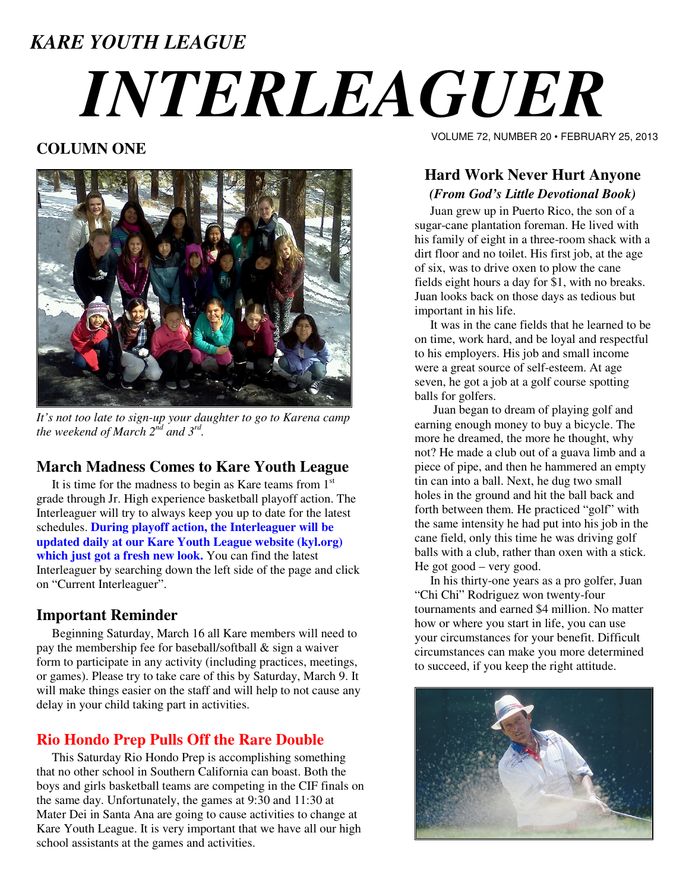# *KARE YOUTH LEAGUE INTERLEAGUER*

# **COLUMN ONE**



*It's not too late to sign-up your daughter to go to Karena camp the weekend of March 2nd and 3rd .* 

### **March Madness Comes to Kare Youth League**

It is time for the madness to begin as Kare teams from  $1<sup>st</sup>$ grade through Jr. High experience basketball playoff action. The Interleaguer will try to always keep you up to date for the latest schedules. **During playoff action, the Interleaguer will be updated daily at our Kare Youth League website (kyl.org) which just got a fresh new look.** You can find the latest Interleaguer by searching down the left side of the page and click on "Current Interleaguer".

#### **Important Reminder**

 Beginning Saturday, March 16 all Kare members will need to pay the membership fee for baseball/softball & sign a waiver form to participate in any activity (including practices, meetings, or games). Please try to take care of this by Saturday, March 9. It will make things easier on the staff and will help to not cause any delay in your child taking part in activities.

# **Rio Hondo Prep Pulls Off the Rare Double**

 This Saturday Rio Hondo Prep is accomplishing something that no other school in Southern California can boast. Both the boys and girls basketball teams are competing in the CIF finals on the same day. Unfortunately, the games at 9:30 and 11:30 at Mater Dei in Santa Ana are going to cause activities to change at Kare Youth League. It is very important that we have all our high school assistants at the games and activities.

VOLUME 72, NUMBER 20 • FEBRUARY 25, 2013

## **Hard Work Never Hurt Anyone**  *(From God's Little Devotional Book)*

 Juan grew up in Puerto Rico, the son of a sugar-cane plantation foreman. He lived with his family of eight in a three-room shack with a dirt floor and no toilet. His first job, at the age of six, was to drive oxen to plow the cane fields eight hours a day for \$1, with no breaks. Juan looks back on those days as tedious but important in his life.

 It was in the cane fields that he learned to be on time, work hard, and be loyal and respectful to his employers. His job and small income were a great source of self-esteem. At age seven, he got a job at a golf course spotting balls for golfers.

 Juan began to dream of playing golf and earning enough money to buy a bicycle. The more he dreamed, the more he thought, why not? He made a club out of a guava limb and a piece of pipe, and then he hammered an empty tin can into a ball. Next, he dug two small holes in the ground and hit the ball back and forth between them. He practiced "golf" with the same intensity he had put into his job in the cane field, only this time he was driving golf balls with a club, rather than oxen with a stick. He got good – very good.

 In his thirty-one years as a pro golfer, Juan "Chi Chi" Rodriguez won twenty-four tournaments and earned \$4 million. No matter how or where you start in life, you can use your circumstances for your benefit. Difficult circumstances can make you more determined to succeed, if you keep the right attitude.